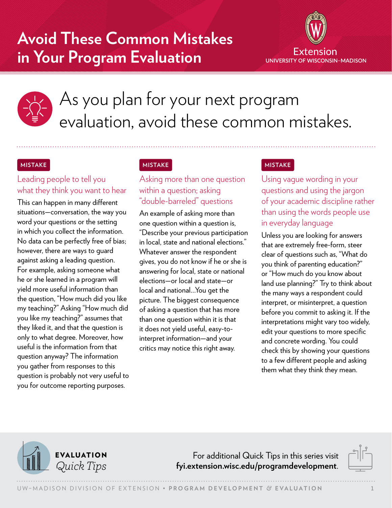## **Avoid These Common Mistakes in Your Program Evaluation**





# As you plan for your next program evaluation, avoid these common mistakes.

#### **MISTAKE**

## Leading people to tell you what they think you want to hear

This can happen in many different situations—conversation, the way you word your questions or the setting in which you collect the information. No data can be perfectly free of bias; however, there are ways to guard against asking a leading question. For example, asking someone what he or she learned in a program will yield more useful information than the question, "How much did you like my teaching?" Asking "How much did you like my teaching?" assumes that they liked it, and that the question is only to what degree. Moreover, how useful is the information from that question anyway? The information you gather from responses to this question is probably not very useful to you for outcome reporting purposes.

### **MISTAKE**

## Asking more than one question within a question; asking "double-barreled" questions

An example of asking more than one question within a question is, "Describe your previous participation in local, state and national elections." Whatever answer the respondent gives, you do not know if he or she is answering for local, state or national elections—or local and state—or local and national…You get the picture. The biggest consequence of asking a question that has more than one question within it is that it does not yield useful, easy-tointerpret information—and your critics may notice this right away.

#### **MISTAKE**

Using vague wording in your questions and using the jargon of your academic discipline rather than using the words people use in everyday language

Unless you are looking for answers that are extremely free-form, steer clear of questions such as, "What do you think of parenting education?" or "How much do you know about land use planning?" Try to think about the many ways a respondent could interpret, or misinterpret, a question before you commit to asking it. If the interpretations might vary too widely, edit your questions to more specific and concrete wording. You could check this by showing your questions to a few different people and asking them what they think they mean.



For additional Quick Tips in this series visit *Quick Tips* **[fyi.extension.wisc.edu/programdevelopment](https://fyi.extension.wisc.edu/programdevelopment)**.